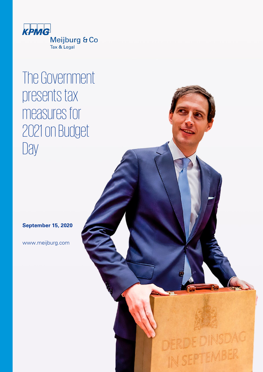

# The Government presents tax measures for 2021 on Budget Day

**September 15, 2020**

www.meijburg.com

DERDEDINSDAG IN SEPTEMBER © 2020 Meijburg & Co, Tax & Legal is an association of private limited liability companies under Dutch law registered with the Trade Registry under number 53753348 and is a member of KPMG International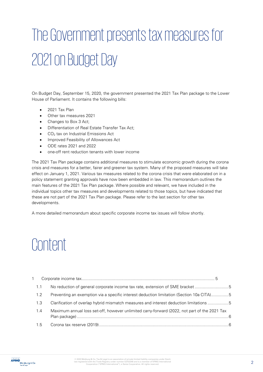# The Government presents tax measures for 2021 on Budget Day

On Budget Day, September 15, 2020, the government presented the 2021 Tax Plan package to the Lower House of Parliament. It contains the following bills:

- 2021 Tax Plan
- Other tax measures 2021
- Changes to Box 3 Act;
- Differentiation of Real Estate Transfer Tax Act;
- $CO<sub>2</sub>$  tax on Industrial Emissions Act
- Improved Feasibility of Allowances Act
- ODE rates 2021 and 2022
- one-off rent reduction tenants with lower income

The 2021 Tax Plan package contains additional measures to stimulate economic growth during the corona crisis and measures for a better, fairer and greener tax system. Many of the proposed measures will take effect on January 1, 2021. Various tax measures related to the corona crisis that were elaborated on in a policy statement granting approvals have now been embedded in law. This memorandum outlines the main features of the 2021 Tax Plan package. Where possible and relevant, we have included in the individual topics other tax measures and developments related to those topics, but have indicated that these are not part of the 2021 Tax Plan package. Please refer to the last section for other tax developments.

A more detailed memorandum about specific corporate income tax issues will follow shortly.

# Content

| 1.1 | No reduction of general corporate income tax rate, extension of SME bracket 5                |  |
|-----|----------------------------------------------------------------------------------------------|--|
| 1.2 | Preventing an exemption via a specific interest deduction limitation (Section 10a CITA)5     |  |
| 1.3 | Clarification of overlap hybrid mismatch measures and interest deduction limitations 5       |  |
| 1.4 | Maximum annual loss set-off, however unlimited carry-forward (2022, not part of the 2021 Tax |  |
| 1.5 |                                                                                              |  |

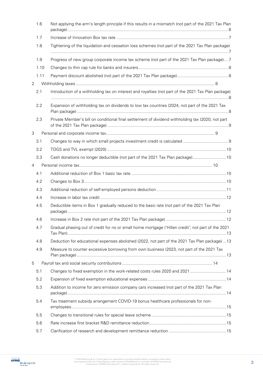| 1.6            | Not applying the arm's length principle if this results in a mismatch (not part of the 2021 Tax Plan |
|----------------|------------------------------------------------------------------------------------------------------|
| 1.7            |                                                                                                      |
| 1.8            | Tightening of the liquidation and cessation loss schemes (not part of the 2021 Tax Plan package)     |
| 1.9            | Progress of new group corporate income tax scheme (not part of the 2021 Tax Plan package)7           |
| 1.10           |                                                                                                      |
| 1.11           |                                                                                                      |
| $\overline{2}$ |                                                                                                      |
| 2.1            | Introduction of a withholding tax on interest and royalties (not part of the 2021 Tax Plan package)  |
| 2.2            | Expansion of withholding tax on dividends to low tax countries (2024, not part of the 2021 Tax       |
| 2.3            | Private Member's bill on conditional final settlement of dividend withholding tax (2020, not part    |
| 3              |                                                                                                      |
| 3.1            |                                                                                                      |
| 3.2            |                                                                                                      |
| 3.3            | Cash donations no longer deductible (not part of the 2021 Tax Plan package) 10                       |
| $\overline{4}$ |                                                                                                      |
| 4.1            |                                                                                                      |
| 4.2            |                                                                                                      |
| 4.3            |                                                                                                      |
| 4.4            |                                                                                                      |
| 4.5            | Deductible items in Box 1 gradually reduced to the basic rate (not part of the 2021 Tax Plan         |
| 4.6            |                                                                                                      |
| 4.7            | Gradual phasing out of credit for no or small home mortgage ('Hillen credit'; not part of the 2021   |
| 4.8            | Deduction for educational expenses abolished (2022, not part of the 2021 Tax Plan package)  13       |
| 4.9            | Measure to counter excessive borrowing from own business (2023, not part of the 2021 Tax             |
| 5              |                                                                                                      |
| 5.1            | Changes to fixed exemption in the work-related costs rules 2020 and 2021  14                         |
| 5.2            |                                                                                                      |
| 5.3            | Addition to income for zero emission company cars increased (not part of the 2021 Tax Plan           |
| 5.4            | Tax treatment subsidy arrangement COVID-19 bonus healthcare professionals for non-                   |
| 5.5            |                                                                                                      |
| 5.6            |                                                                                                      |
| 5.7            |                                                                                                      |

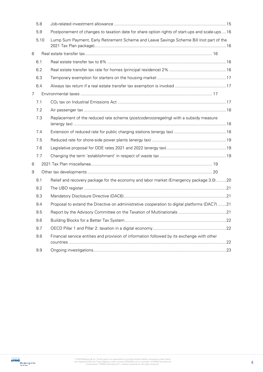|   | 5.8  |                                                                                               |  |
|---|------|-----------------------------------------------------------------------------------------------|--|
|   | 5.9  | Postponement of changes to taxation date for share option rights of start-ups and scale-ups16 |  |
|   | 5.10 | Lump Sum Payment, Early Retirement Scheme and Leave Savings Scheme Bill (not part of the      |  |
| 6 |      |                                                                                               |  |
|   | 6.1  |                                                                                               |  |
|   | 6.2  |                                                                                               |  |
|   | 6.3  |                                                                                               |  |
|   | 6.4  |                                                                                               |  |
| 7 |      |                                                                                               |  |
|   | 7.1  |                                                                                               |  |
|   | 7.2  |                                                                                               |  |
|   | 7.3  | Replacement of the reduced rate scheme (postcoderoosregeling) with a subsidy measure          |  |
|   | 7.4  |                                                                                               |  |
|   | 7.5  |                                                                                               |  |
|   | 7.6  |                                                                                               |  |
|   | 7.7  |                                                                                               |  |
| 8 |      |                                                                                               |  |
| 9 |      |                                                                                               |  |
|   | 9.1  | Relief and recovery package for the economy and labor market (Emergency package 3.0)20        |  |
|   | 9.2  |                                                                                               |  |
|   | 9.3  |                                                                                               |  |
|   | 9.4  | Proposal to extend the Directive on administrative cooperation to digital platforms (DAC7) 21 |  |
|   | 9.5  |                                                                                               |  |
|   | 9.6  |                                                                                               |  |
|   | 9.7  |                                                                                               |  |
|   | 9.8  | Financial service entities and provision of information followed by its exchange with other   |  |
|   | 9.9  |                                                                                               |  |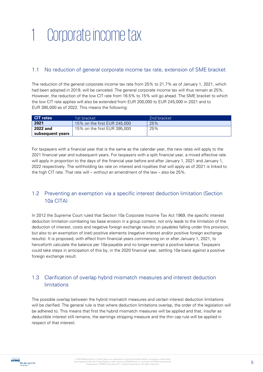# <span id="page-4-0"></span>1 Corporate income tax

# <span id="page-4-1"></span>1.1 No reduction of general corporate income tax rate, extension of SME bracket

The reduction of the general corporate income tax rate from 25% to 21.7% as of January 1, 2021, which had been adopted in 2019, will be canceled. The general corporate income tax will thus remain at 25%. However, the reduction of the low CIT rate from 16.5% to 15% will go ahead. The SME bracket to which the low CIT rate applies will also be extended from EUR 200,000 to EUR 245,000 in 2021 and to EUR 395,000 as of 2022. This means the following:

| <b>CIT</b> rates | 1st bracket.                 | 2nd bracket |
|------------------|------------------------------|-------------|
| 2021             | 15% on the first EUR 245,000 | 25%         |
| 2022 and         | 15% on the first EUR 395,000 | 25%         |
| subsequent years |                              |             |

For taxpayers with a financial year that is the same as the calendar year, the new rates will apply to the 2021 financial year and subsequent years. For taxpayers with a split financial year, a mixed effective rate will apply in proportion to the days of the financial year before and after January 1, 2021 and January 1, 2022 respectively. The withholding tax rate on interest and royalties that will apply as of 2021 is linked to the high CIT rate. That rate will – without an amendment of the law – also be 25%.

# <span id="page-4-2"></span>1.2 Preventing an exemption via a specific interest deduction limitation (Section 10a CITA)

In 2012 the Supreme Court ruled that Section 10a Corporate Income Tax Act 1969, the specific interest deduction limitation combating tax base erosion in a group context, not only leads to the limitation of the deduction of interest, costs and negative foreign exchange results on payables falling under this provision, but also to an exemption of (net) positive elements (negative interest and/or positive foreign exchange results). It is proposed, with effect from financial years commencing on or after January 1, 2021, to henceforth calculate the balance per 10a-payable and no longer exempt a positive balance. Taxpayers could take steps in anticipation of this by, in the 2020 financial year, settling 10a-loans against a positive foreign exchange result.

# <span id="page-4-3"></span>1.3 Clarification of overlap hybrid mismatch measures and interest deduction limitations

The possible overlap between the hybrid mismatch measures and certain interest deduction limitations will be clarified. The general rule is that where deduction limitations overlap, the order of the legislation will be adhered to. This means that first the hybrid mismatch measures will be applied and that, insofar as deductible interest still remains, the earnings stripping measure and the thin cap rule will be applied in respect of that interest.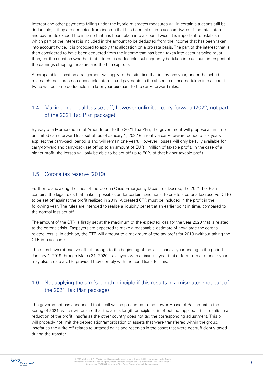Interest and other payments falling under the hybrid mismatch measures will in certain situations still be deductible, if they are deducted from income that has been taken into account twice. If the total interest and payments exceed the income that has been taken into account twice, it is important to establish which part of the interest is included in the amount to be deducted from the income that has been taken into account twice. It is proposed to apply that allocation on a pro rata basis. The part of the interest that is then considered to have been deducted from the income that has been taken into account twice must then, for the question whether that interest is deductible, subsequently be taken into account in respect of the earnings stripping measure and the thin cap rule.

A comparable allocation arrangement will apply to the situation that in any one year, under the hybrid mismatch measures non-deductible interest and payments in the absence of income taken into account twice will become deductible in a later year pursuant to the carry-forward rules.

### <span id="page-5-0"></span>1.4 Maximum annual loss set-off, however unlimited carry-forward (2022, not part of the 2021 Tax Plan package)

By way of a Memorandum of Amendment to the 2021 Tax Plan, the government will propose an in time unlimited carry-forward loss set-off as of January 1, 2022 (currently a carry-forward period of six years applies; the carry-back period is and will remain one year). However, losses will only be fully available for carry-forward and carry-back set off up to an amount of EUR 1 million of taxable profit. In the case of a higher profit, the losses will only be able to be set off up to 50% of that higher taxable profit.

#### <span id="page-5-1"></span>1.5 Corona tax reserve (2019)

Further to and along the lines of the Corona Crisis Emergency Measures Decree, the 2021 Tax Plan contains the legal rules that make it possible, under certain conditions, to create a corona tax reserve (CTR) to be set off against the profit realized in 2019. A created CTR must be included in the profit in the following year. The rules are intended to realize a liquidity benefit at an earlier point in time, compared to the normal loss set-off.

The amount of the CTR is firstly set at the maximum of the expected loss for the year 2020 that is related to the corona crisis. Taxpayers are expected to make a reasonable estimate of how large the coronarelated loss is. In addition, the CTR will amount to a maximum of the tax profit for 2019 (without taking the CTR into account).

The rules have retroactive effect through to the beginning of the last financial year ending in the period January 1, 2019 through March 31, 2020. Taxpayers with a financial year that differs from a calendar year may also create a CTR, provided they comply with the conditions for this.

# <span id="page-5-2"></span>1.6 Not applying the arm's length principle if this results in a mismatch (not part of the 2021 Tax Plan package)

The government has announced that a bill will be presented to the Lower House of Parliament in the spring of 2021, which will ensure that the arm's length principle is, in effect, not applied if this results in a reduction of the profit, insofar as the other country does not tax the corresponding adjustment. This bill will probably not limit the depreciation/amortization of assets that were transferred within the group, insofar as the write-off relates to untaxed gains and reserves in the asset that were not sufficiently taxed during the transfer.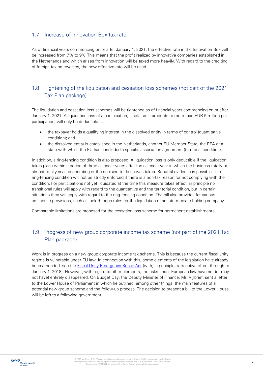#### <span id="page-6-0"></span>1.7 Increase of Innovation Box tax rate

As of financial years commencing on or after January 1, 2021, the effective rate in the Innovation Box will be increased from 7% to 9% This means that the profit realized by innovative companies established in the Netherlands and which arises from innovation will be taxed more heavily. With regard to the crediting of foreign tax on royalties, the new effective rate will be used.

# <span id="page-6-1"></span>1.8 Tightening of the liquidation and cessation loss schemes (not part of the 2021 Tax Plan package)

The liquidation and cessation loss schemes will be tightened as of financial years commencing on or after January 1, 2021. A liquidation loss of a participation, insofar as it amounts to more than EUR 5 million per participation, will only be deductible if:

- the taxpayer holds a qualifying interest in the dissolved entity in terms of control (quantitative condition); and
- the dissolved entity is established in the Netherlands, another EU Member State, the EEA or a state with which the EU has concluded a specific association agreement (territorial condition).

In addition, a ring-fencing condition is also proposed. A liquidation loss is only deductible if the liquidation takes place within a period of three calendar years after the calendar year in which the business totally or almost totally ceased operating or the decision to do so was taken. Rebuttal evidence is possible. The ring-fencing condition will not be strictly enforced if there is a non-tax reason for not complying with the condition. For participations not yet liquidated at the time this measure takes effect, in principle no transitional rules will apply with regard to the quantitative and the territorial condition, but in certain situations they will apply with regard to the ring-fencing condition. The bill also provides for various anti-abuse provisions, such as look-through rules for the liquidation of an intermediate holding company.

Comparable limitations are proposed for the cessation loss scheme for permanent establishments.

# <span id="page-6-2"></span>1.9 Progress of new group corporate income tax scheme (not part of the 2021 Tax Plan package)

Work is in progress on a new group corporate income tax scheme. This is because the current fiscal unity regime is vulnerable under EU law. In connection with this, some elements of the legislation have already been amended, see the **Fiscal Unity Emergency Repair Act** (with, in principle, retroactive effect through to January 1, 2018). However, with regard to other elements, the risks under European law have not (or may not have) entirely disappeared. On Budget Day, the Deputy Minister of Finance, Mr. Vijlbrief, sent a letter to the Lower House of Parliament in which he outlined, among other things, the main features of a potential new group scheme and the follow-up process. The decision to present a bill to the Lower House will be left to a following government.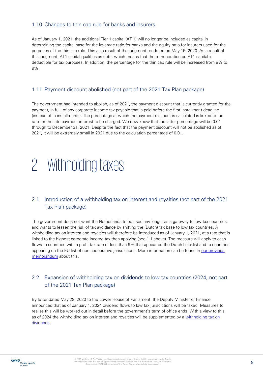#### <span id="page-7-0"></span>1.10 Changes to thin cap rule for banks and insurers

As of January 1, 2021, the additional Tier 1 capital (AT 1) will no longer be included as capital in determining the capital base for the leverage ratio for banks and the equity ratio for insurers used for the purposes of the thin cap rule. This as a result of the judgment rendered on May 15, 2020. As a result of this judgment, AT1 capital qualifies as debt, which means that the remuneration on AT1 capital is deductible for tax purposes. In addition, the percentage for the thin cap rule will be increased from 8% to 9%.

#### <span id="page-7-1"></span>1.11 Payment discount abolished (not part of the 2021 Tax Plan package)

The government had intended to abolish, as of 2021, the payment discount that is currently granted for the payment, in full, of any corporate income tax payable that is paid before the first installment deadline (instead of in installments). The percentage at which the payment discount is calculated is linked to the rate for the late payment interest to be charged. We now know that the latter percentage will be 0.01 through to December 31, 2021. Despite the fact that the payment discount will not be abolished as of 2021, it will be extremely small in 2021 due to the calculation percentage of 0.01.

# <span id="page-7-2"></span>2 Withholding taxes

### <span id="page-7-3"></span>2.1 Introduction of a withholding tax on interest and royalties (not part of the 2021 Tax Plan package)

The government does not want the Netherlands to be used any longer as a gateway to low tax countries, and wants to lessen the risk of tax avoidance by shifting the (Dutch) tax base to low tax countries. A withholding tax on interest and royalties will therefore be introduced as of January 1, 2021, at a rate that is linked to the highest corporate income tax then applying (see 1.1 above). The measure will apply to cash flows to countries with a profit tax rate of less than 9% that appear on the Dutch blacklist and to countries appearing on the EU list of non-cooperative jurisdictions. More information can be found in [our previous](https://meijburg.com/news/tax-measures-2020)  [memorandum](https://meijburg.com/news/tax-measures-2020) about this.

### <span id="page-7-4"></span>2.2 Expansion of withholding tax on dividends to low tax countries (2024, not part of the 2021 Tax Plan package)

By letter dated May 29, 2020 to the Lower House of Parliament, the Deputy Minister of Finance announced that as of January 1, 2024 dividend flows to low tax jurisdictions will be taxed. Measures to realize this will be worked out in detail before the government's term of office ends. With a view to this, as of 2024 the withholding tax on interest and royalties will be supplemented by a [withholding tax on](https://meijburg.com/news/withholding-tax-dividends-low-tax-jurisdictions-2024)  [dividends.](https://meijburg.com/news/withholding-tax-dividends-low-tax-jurisdictions-2024)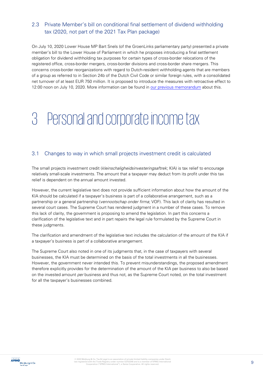# <span id="page-8-0"></span>2.3 Private Member's bill on conditional final settlement of dividend withholding tax (2020, not part of the 2021 Tax Plan package)

On July 10, 2020 Lower House MP Bart Snels (of the GroenLinks parliamentary party) presented a private member's bill to the Lower House of Parliament in which he proposes introducing a final settlement obligation for dividend withholding tax purposes for certain types of cross-border relocations of the registered office, cross-border mergers, cross-border divisions and cross-border share mergers. This concerns cross-border reorganizations with regard to Dutch-resident withholding agents that are members of a group as referred to in Section 24b of the Dutch Civil Code or similar foreign rules, with a consolidated net turnover of at least EUR 750 million. It is proposed to introduce the measures with retroactive effect to 12:00 noon on July 10, 2020. More information can be found in [our previous memorandum](https://meijburg.com/news/private-members-bill-conditional-final-settlement-dividend-withholding-tax-presented-lower) about this.

# <span id="page-8-1"></span>3 Personal and corporate income tax

#### <span id="page-8-2"></span>3.1 Changes to way in which small projects investment credit is calculated

The small projects investment credit (*kleinschaligheidsinvesteringsaftrek*; KIA) is tax relief to encourage relatively small-scale investments. The amount that a taxpayer may deduct from its profit under this tax relief is dependent on the annual amount invested.

However, the current legislative text does not provide sufficient information about how the amount of the KIA should be calculated if a taxpayer's business is part of a collaborative arrangement, such as a partnership or a general partnership (vennootschap onder firma; VOF). This lack of clarity has resulted in several court cases. The Supreme Court has rendered judgment in a number of these cases. To remove this lack of clarity, the government is proposing to amend the legislation. In part this concerns a clarification of the legislative text and in part repairs the legal rule formulated by the Supreme Court in these judgments.

The clarification and amendment of the legislative text includes the calculation of the amount of the KIA if a taxpayer's business is part of a collaborative arrangement.

The Supreme Court also noted in one of its judgments that, in the case of taxpayers with several businesses, the KIA must be determined on the basis of the total investments in all the businesses. However, the government never intended this. To prevent misunderstandings, the proposed amendment therefore explicitly provides for the determination of the amount of the KIA per business to also be based on the invested amount per business and thus not, as the Supreme Court noted, on the total investment for all the taxpayer's businesses combined.

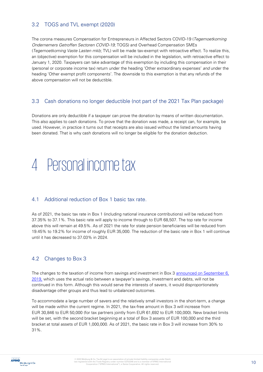# <span id="page-9-0"></span>3.2 TOGS and TVL exempt (2020)

The corona measures Compensation for Entrepreneurs in Affected Sectors COVID-19 (Tegemoetkoming Ondernemers Getroffen Sectoren COVID-19; TOGS) and Overhead Compensation SMEs (Tegemoetkoming Vaste Lasten mkb; TVL) will be made tax-exempt with retroactive effect. To realize this, an (objective) exemption for this compensation will be included in the legislation, with retroactive effect to January 1, 2020. Taxpayers can take advantage of this exemption by including this compensation in their (personal or corporate income tax) return under the heading 'Other extraordinary expenses' and under the heading 'Other exempt profit components'. The downside to this exemption is that any refunds of the above compensation will not be deductible.

#### <span id="page-9-1"></span>3.3 Cash donations no longer deductible (not part of the 2021 Tax Plan package)

Donations are only deductible if a taxpayer can prove the donation by means of written documentation. This also applies to cash donations. To prove that the donation was made, a receipt can, for example, be used. However, in practice it turns out that receipts are also issued without the listed amounts having been donated. That is why cash donations will no longer be eligible for the donation deduction.

# <span id="page-9-2"></span>4 Personal income tax

#### <span id="page-9-3"></span>4.1 Additional reduction of Box 1 basic tax rate.

As of 2021, the basic tax rate in Box 1 (including national insurance contributions) will be reduced from 37.35% to 37.1%. This basic rate will apply to income through to EUR 68,507. The top rate for income above this will remain at 49.5%. As of 2021 the rate for state pension beneficiaries will be reduced from 19.45% to 19.2% for income of roughly EUR 35,000. The reduction of the basic rate in Box 1 will continue until it has decreased to 37.03% in 2024.

### <span id="page-9-4"></span>4.2 Changes to Box 3

The changes to the taxation of income from savings and investment in Box 3 [announced on September 6,](https://meijburg.com/news/deputy-minister-announces-change-box3)  [2019,](https://meijburg.com/news/deputy-minister-announces-change-box3) which uses the actual ratio between a taxpayer's savings, investment and debts, will not be continued in this form. Although this would serve the interests of savers, it would disproportionately disadvantage other groups and thus lead to unbalanced outcomes.

To accommodate a large number of savers and the relatively small investors in the short-term, a change will be made within the current regime. In 2021, the tax-free amount in Box 3 will increase from EUR 30,846 to EUR 50,000 (for tax partners jointly from EUR 61,692 to EUR 100,000). New bracket limits will be set, with the second bracket beginning at a total of Box 3 assets of EUR 100,000 and the third bracket at total assets of EUR 1,000,000. As of 2021, the basic rate in Box 3 will increase from 30% to 31%.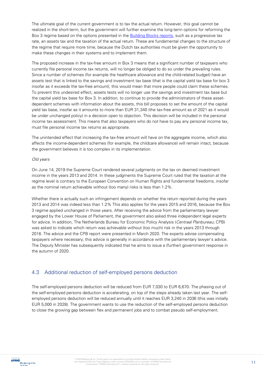The ultimate goal of the current government is to tax the actual return. However, this goal cannot be realized in the short-term, but the government will further examine the long-term options for reforming the Box 3 regime based on the options presented in the **Building Blocks reports**, such as a progressive tax rate, an assets tax and the taxation of the actual return. These are fundamental changes to the structure of the regime that require more time, because the Dutch tax authorities must be given the opportunity to make these changes in their systems and to implement them.

The proposed increase in the tax-free amount in Box 3 means that a significant number of taxpayers who currently file personal income tax returns, will no longer be obliged to do so under the prevailing rules. Since a number of schemes (for example the healthcare allowance and the child-related budget) have an assets test that is linked to the savings and investment tax base (that is the capital yield tax base for box 3 insofar as it exceeds the tax-free amount), this would mean that more people could claim these schemes. To prevent this undesired effect, assets tests will no longer use the savings and investment tax base but the capital yield tax base for Box 3. In addition, to continue to provide the administrators of these assetdependent schemes with information about the assets, this bill proposes to set the amount of the capital yield tax base, insofar as it amounts to more than EUR 31,340 (the tax-free amount as of 2021 as it would be under unchanged policy) in a decision open to objection. This decision will be included in the personal income tax assessment. This means that also taxpayers who do not have to pay any personal income tax, must file personal income tax returns as appropriate.

The unintended effect that increasing the tax-free amount will have on the aggregate income, which also affects the income-dependent schemes (for example, the childcare allowance) will remain intact, because the government believes it is too complex in its implementation.

#### Old years

On June 14, 2019 the Supreme Court rendered several judgments on the tax on deemed investment income in the years 2013 and 2014. In these judgments the Supreme Court ruled that the taxation at the regime level is contrary to the European Convention on Human Rights and fundamental freedoms, insofar as the nominal return achievable without (too many) risks is less than 1.2%.

Whether there is actually such an infringement depends on whether the return reported during the years 2013 and 2014 was indeed less than 1.2% This also applies for the years 2015 and 2016, because the Box 3 regime applied unchanged in those years. After receiving the advice from the parliamentary lawyer engaged by the Lower House of Parliament, the government also asked three independent legal experts for advice. In addition, The Netherlands Bureau for Economic Policy Analysis (Centraal Planbureau; CPB) was asked to indicate which return was achievable without (too much) risk in the years 2013 through 2016. The advice and the CPB report were presented in March 2020. The experts advise compensating taxpayers where necessary; this advice is generally in accordance with the parliamentary lawyer's advice. The Deputy Minister has subsequently indicated that he aims to issue a (further) government response in the autumn of 2020.

#### <span id="page-10-0"></span>4.3 Additional reduction of self-employed persons deduction

The self-employed persons deduction will be reduced from EUR 7,030 to EUR 6,670. The phasing out of the self-employed persons deduction is accelerating, on top of the steps already taken last year. The selfemployed persons deduction will be reduced annually until it reaches EUR 3,240 in 2036 (this was initially EUR 5,000 in 2028). The government wants to use the reduction of the self-employed persons deduction to close the growing gap between flex and permanent jobs and to combat pseudo self-employment.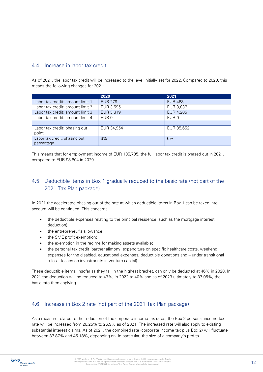#### <span id="page-11-0"></span>4.4 Increase in labor tax credit

As of 2021, the labor tax credit will be increased to the level initially set for 2022. Compared to 2020, this means the following changes for 2021:

|                                  | 2020           | 2021           |
|----------------------------------|----------------|----------------|
| Labor tax credit: amount limit 1 | <b>EUR 279</b> | <b>EUR 463</b> |
| Labor tax credit: amount limit 2 | EUR 3,595      | EUR 3,837      |
| Labor tax credit: amount limit 3 | EUR 3,819      | EUR 4,205      |
| Labor tax credit: amount limit 4 | EUR 0          | EUR 0          |
|                                  |                |                |
| Labor tax credit: phasing out    | EUR 34,954     | EUR 35,652     |
| point                            |                |                |
| Labor tax credit: phasing out    | 6%             | 6%             |
| percentage                       |                |                |

This means that for employment income of EUR 105,735, the full labor tax credit is phased out in 2021, compared to EUR 98,604 in 2020.

# <span id="page-11-1"></span>4.5 Deductible items in Box 1 gradually reduced to the basic rate (not part of the 2021 Tax Plan package)

In 2021 the accelerated phasing out of the rate at which deductible items in Box 1 can be taken into account will be continued. This concerns:

- the deductible expenses relating to the principal residence (such as the mortgage interest deduction);
- the entrepreneur's allowance:
- the SME profit exemption;
- the exemption in the regime for making assets available;
- the personal tax credit (partner alimony, expenditure on specific healthcare costs, weekend expenses for the disabled, educational expenses, deductible donations and – under transitional rules – losses on investments in venture capital).

These deductible items, insofar as they fall in the highest bracket, can only be deducted at 46% in 2020. In 2021 the deduction will be reduced to 43%, in 2022 to 40% and as of 2023 ultimately to 37.05%, the basic rate then applying.

#### <span id="page-11-2"></span>4.6 Increase in Box 2 rate (not part of the 2021 Tax Plan package)

As a measure related to the reduction of the corporate income tax rates, the Box 2 personal income tax rate will be increased from 26.25% to 26.9% as of 2021. The increased rate will also apply to existing substantial interest claims. As of 2021, the combined rate (corporate income tax plus Box 2) will fluctuate between 37.87% and 45.18%, depending on, in particular, the size of a company's profits.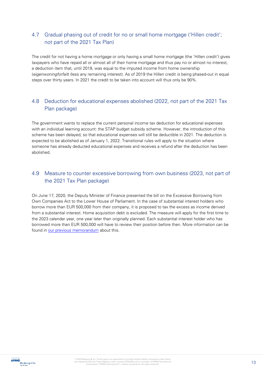# <span id="page-12-0"></span>4.7 Gradual phasing out of credit for no or small home mortgage ('Hillen credit'; not part of the 2021 Tax Plan)

The credit for not having a home mortgage or only having a small home mortgage (the 'Hillen credit') gives taxpayers who have repaid all or almost all of their home mortgage and thus pay no or almost no interest, a deduction item that, until 2019, was equal to the imputed income from home ownership (eigenwoningforfait) (less any remaining interest). As of 2019 the Hillen credit is being phased-out in equal steps over thirty years. In 2021 the credit to be taken into account will thus only be 90%.

# <span id="page-12-1"></span>4.8 Deduction for educational expenses abolished (2022, not part of the 2021 Tax Plan package)

The government wants to replace the current personal income tax deduction for educational expenses with an individual learning account: the STAP budget subsidy scheme. However, the introduction of this scheme has been delayed, so that educational expenses will still be deductible in 2021. The deduction is expected to be abolished as of January 1, 2022. Transitional rules will apply to the situation where someone has already deducted educational expenses and receives a refund after the deduction has been abolished.

# <span id="page-12-2"></span>4.9 Measure to counter excessive borrowing from own business (2023, not part of the 2021 Tax Plan package)

On June 17, 2020, the Deputy Minister of Finance presented the bill on the Excessive Borrowing from Own Companies Act to the Lower House of Parliament. In the case of substantial interest holders who borrow more than EUR 500,000 from their company, it is proposed to tax the excess as income derived from a substantial interest. Home acquisition debt is excluded. The measure will apply for the first time to the 2023 calendar year, one year later than originally planned. Each substantial interest holder who has borrowed more than EUR 500,000 will have to review their position before then. More information can be found in [our previous memorandum](https://meijburg.com/news/bill-against-excessive-borrowing-own-company-presented-lower-house) about this.

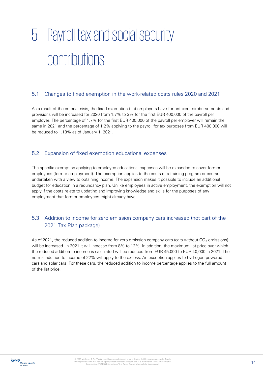# <span id="page-13-0"></span>5 Payroll tax and social security contributions

#### <span id="page-13-1"></span>5.1 Changes to fixed exemption in the work-related costs rules 2020 and 2021

As a result of the corona crisis, the fixed exemption that employers have for untaxed reimbursements and provisions will be increased for 2020 from 1.7% to 3% for the first EUR 400,000 of the payroll per employer. The percentage of 1.7% for the first EUR 400,000 of the payroll per employer will remain the same in 2021 and the percentage of 1.2% applying to the payroll for tax purposes from EUR 400,000 will be reduced to 1.18% as of January 1, 2021.

#### <span id="page-13-2"></span>5.2 Expansion of fixed exemption educational expenses

The specific exemption applying to employee educational expenses will be expanded to cover former employees (former employment). The exemption applies to the costs of a training program or course undertaken with a view to obtaining income. The expansion makes it possible to include an additional budget for education in a redundancy plan. Unlike employees in active employment, the exemption will not apply if the costs relate to updating and improving knowledge and skills for the purposes of any employment that former employees might already have.

# <span id="page-13-3"></span>5.3 Addition to income for zero emission company cars increased (not part of the 2021 Tax Plan package)

As of 2021, the reduced addition to income for zero emission company cars (cars without  $CO<sub>2</sub>$  emissions) will be increased. In 2021 it will increase from 8% to 12%. In addition, the maximum list price over which the reduced addition to income is calculated will be reduced from EUR 45,000 to EUR 40,000 in 2021. The normal addition to income of 22% will apply to the excess. An exception applies to hydrogen-powered cars and solar cars. For these cars, the reduced addition to income percentage applies to the full amount of the list price.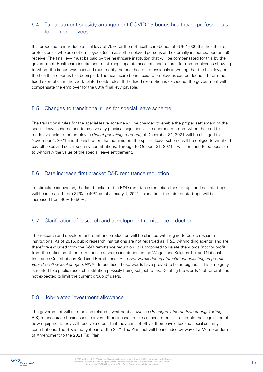# <span id="page-14-0"></span>5.4 Tax treatment subsidy arrangement COVID-19 bonus healthcare professionals for non-employees

It is proposed to introduce a final levy of 75% for the net healthcare bonus of EUR 1,000 that healthcare professionals who are not employees (such as self-employed persons and externally insourced personnel) receive. The final levy must be paid by the healthcare institution that will be compensated for this by the government. Healthcare institutions must keep separate accounts and records for non-employees showing to whom the bonus was paid and must notify the healthcare professionals in writing that the final levy on the healthcare bonus has been paid. The healthcare bonus paid to employees can be deducted from the fixed exemption in the work-related costs rules. If the fixed exemption is exceeded, the government will compensate the employer for the 80% final levy payable.

#### <span id="page-14-1"></span>5.5 Changes to transitional rules for special leave scheme

The transitional rules for the special leave scheme will be changed to enable the proper settlement of the special leave scheme and to resolve any practical objections. The deemed moment when the credit is made available to the employee (fictief genietingsmoment) of December 31, 2021 will be changed to November 1, 2021 and the institution that administers the special leave scheme will be obliged to withhold payroll taxes and social security contributions. Through to October 31, 2021 it will continue to be possible to withdraw the value of the special leave entitlement.

#### <span id="page-14-2"></span>5.6 Rate increase first bracket R&D remittance reduction

To stimulate innovation, the first bracket of the R&D remittance reduction for start-ups and non-start ups will be increased from 32% to 40% as of January 1, 2021. In addition, the rate for start-ups will be increased from 40% to 50%.

### <span id="page-14-3"></span>5.7 Clarification of research and development remittance reduction

The research and development remittance reduction will be clarified with regard to public research institutions. As of 2016, public research institutions are not regarded as 'R&D withholding agents' and are therefore excluded from the R&D remittance reduction. It is proposed to delete the words 'not for profit' from the definition of the term 'public research institution' in the Wages and Salaries Tax and National Insurance Contributions Reduced Remittances Act (Wet vermindering afdracht loonbelasting en premie voor de volksverzekeringen; WVA). In practice, these words have proved to be ambiguous. This ambiguity is related to a public research institution possibly being subject to tax. Deleting the words 'not-for-profit' is not expected to limit the current group of users.

### <span id="page-14-4"></span>5.8 Job-related investment allowance

The government will use the Job-related investment allowance (Baangerelateerde Investeringskorting; BIK) to encourage businesses to invest. If businesses make an investment, for example the acquisition of new equipment, they will receive a credit that they can set off via their payroll tax and social security contributions. The BIK is not yet part of the 2021 Tax Plan, but will be included by way of a Memorandum of Amendment to the 2021 Tax Plan.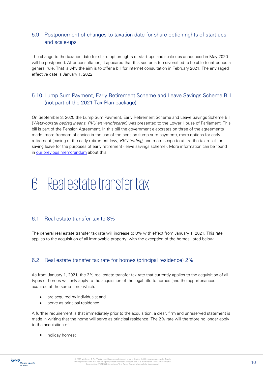# <span id="page-15-0"></span>5.9 Postponement of changes to taxation date for share option rights of start-ups and scale-ups

The change to the taxation date for share option rights of start-ups and scale-ups announced in May 2020 will be postponed. After consultation, it appeared that this sector is too diversified to be able to introduce a general rule. That is why the aim is to offer a bill for internet consultation in February 2021. The envisaged effective date is January 1, 2022,

# <span id="page-15-1"></span>5.10 Lump Sum Payment, Early Retirement Scheme and Leave Savings Scheme Bill (not part of the 2021 Tax Plan package)

On September 3, 2020 the Lump Sum Payment, Early Retirement Scheme and Leave Savings Scheme Bill (Wetsvoorstel bedrag ineens, RVU en verlofsparen) was presented to the Lower House of Parliament. This bill is part of the Pension Agreement. In this bill the government elaborates on three of the agreements made: more freedom of choice in the use of the pension (lump-sum payment), more options for early retirement (easing of the early retirement levy; RVU-heffing) and more scope to utilize the tax relief for saving leave for the purposes of early retirement (leave savings scheme). More information can be found in [our previous memorandum](https://meijburg.com/news/lump-sum-payment-early-retirement-scheme-and-leave-savings-scheme-bill) about this.

# <span id="page-15-2"></span>6 Real estate transfer tax

#### <span id="page-15-3"></span>6.1 Real estate transfer tax to 8%

The general real estate transfer tax rate will increase to 8% with effect from January 1, 2021. This rate applies to the acquisition of all immovable property, with the exception of the homes listed below.

#### <span id="page-15-4"></span>6.2 Real estate transfer tax rate for homes (principal residence) 2%

As from January 1, 2021, the 2% real estate transfer tax rate that currently applies to the acquisition of all types of homes will only apply to the acquisition of the legal title to homes (and the appurtenances acquired at the same time) which:

- are acquired by individuals; and
- serve as principal residence

A further requirement is that immediately prior to the acquisition, a clear, firm and unreserved statement is made in writing that the home will serve as principal residence. The 2% rate will therefore no longer apply to the acquisition of:

holiday homes;



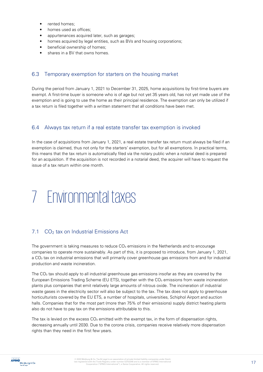- rented homes;
- homes used as offices;
- appurtenances acquired later, such as garages;
- homes acquired by legal entities, such as BVs and housing corporations;
- beneficial ownership of homes;
- shares in a BV that owns homes.

#### <span id="page-16-0"></span>6.3 Temporary exemption for starters on the housing market

During the period from January 1, 2021 to December 31, 2025, home acquisitions by first-time buyers are exempt. A first-time buyer is someone who is of age but not yet 35 years old, has not yet made use of the exemption and is going to use the home as their principal residence. The exemption can only be utilized if a tax return is filed together with a written statement that all conditions have been met.

#### <span id="page-16-1"></span>6.4 Always tax return if a real estate transfer tax exemption is invoked

In the case of acquisitions from January 1, 2021, a real estate transfer tax return must always be filed if an exemption is claimed, thus not only for the starters' exemption, but for all exemptions. In practical terms, this means that the tax return is automatically filed via the notary public when a notarial deed is prepared for an acquisition. If the acquisition is not recorded in a notarial deed, the acquirer will have to request the issue of a tax return within one month.

# <span id="page-16-2"></span>7 Environmental taxes

#### <span id="page-16-3"></span>7.1 CO<sub>2</sub> tax on Industrial Emissions Act

The government is taking measures to reduce CO<sub>2</sub> emissions in the Netherlands and to encourage companies to operate more sustainably. As part of this, it is proposed to introduce, from January 1, 2021, a CO<sub>2</sub> tax on industrial emissions that will primarily cover greenhouse gas emissions from and for industrial production and waste incineration.

The  $CO<sub>2</sub>$  tax should apply to all industrial greenhouse gas emissions insofar as they are covered by the European Emissions Trading Scheme (EU ETS), together with the CO<sub>2</sub> emissions from waste incineration plants plus companies that emit relatively large amounts of nitrous oxide. The incineration of industrial waste gases in the electricity sector will also be subject to the tax. The tax does not apply to greenhouse horticulturists covered by the EU ETS, a number of hospitals, universities, Schiphol Airport and auction halls. Companies that for the most part (more than 75% of their emissions) supply district heating plants also do not have to pay tax on the emissions attributable to this.

The tax is levied on the excess  $CO<sub>2</sub>$  emitted with the exempt tax, in the form of dispensation rights, decreasing annually until 2030. Due to the corona crisis, companies receive relatively more dispensation rights than they need in the first few years.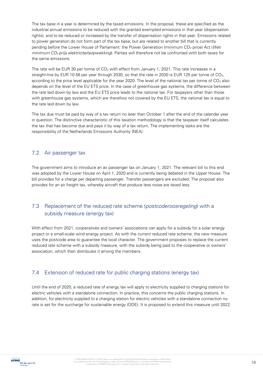The tax base in a year is determined by the taxed emissions. In the proposal, these are specified as the industrial annual emissions to be reduced with the granted exempted emissions in that year (dispensation rights), and to be reduced or increased by the transfer of dispensation rights in that year. Emissions related to power generation do not form part of the tax base, but are related to another bill that is currently pending before the Lower House of Parliament: the Power Generation (minimum CO<sub>2</sub> price) Act (Wet minimum CO<sub>2</sub>-prijs elektriciteitsopwekking). Parties will therefore not be confronted with both taxes for the same emissions.

The rate will be EUR 30 per tonne of  $CO<sub>2</sub>$  with effect from January 1, 2021. This rate increases in a straight-line by EUR 10.56 per year through 2030, so that the rate in 2030 is EUR 125 per tonne of CO2, according to the price level applicable for the year 2020. The level of the national tax per tonne of  $CO<sub>2</sub>$  also depends on the level of the EU ETS price. In the case of greenhouse gas systems, the difference between the rate laid down by law and the EU ETS price leads to the national tax. For taxpayers other than those with greenhouse gas systems, which are therefore not covered by the EU ETS, the national tax is equal to the rate laid down by law.

The tax due must be paid by way of a tax return no later than October 1 after the end of the calendar year in question. The distinctive characteristic of this taxation methodology is that the taxpayer itself calculates the tax that has become due and pays it by way of a tax return. The implementing tasks are the responsibility of the Netherlands Emissions Authority (NEA).

#### <span id="page-17-0"></span>7.2 Air passenger tax

The government aims to introduce an air passenger tax on January 1, 2021. The relevant bill to this end was adopted by the Lower House on April 1, 2020 and is currently being debated in the Upper House. The bill provides for a charge per departing passenger. Transfer passengers are excluded. The proposal also provides for an air freight tax, whereby aircraft that produce less noise are taxed less.

# <span id="page-17-1"></span>7.3 Replacement of the reduced rate scheme (postcoderoosregeling) with a subsidy measure (energy tax)

With effect from 2021, cooperatives and owners' associations can apply for a subsidy for a solar energy project or a small-scale wind energy project. As with the current reduced rate scheme, the new measure uses the postcode area to guarantee the local character. The government proposes to replace the current reduced rate scheme with a subsidy measure, with the subsidy being paid to the cooperative or owners' association, which then distributes it among the members.

#### <span id="page-17-2"></span>7.4 Extension of reduced rate for public charging stations (energy tax)

Until the end of 2020, a reduced rate of energy tax will apply to electricity supplied to charging stations for electric vehicles with a standalone connection. In practice, this concerns the public charging stations. In addition, for electricity supplied to a charging station for electric vehicles with a standalone connection no rate is set for the surcharge for sustainable energy (ODE). It is proposed to extend this measure until 2022.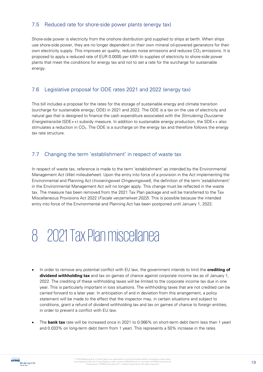### <span id="page-18-0"></span>7.5 Reduced rate for shore-side power plants (energy tax)

Shore-side power is electricity from the onshore distribution grid supplied to ships at berth. When ships use shore-side power, they are no longer dependent on their own mineral oil-powered generators for their own electricity supply. This improves air quality, reduces noise emissions and reduces  $CO<sub>2</sub>$  emissions. It is proposed to apply a reduced rate of EUR 0.0005 per kWh to supplies of electricity to shore-side power plants that meet the conditions for energy tax and not to set a rate for the surcharge for sustainable energy.

### <span id="page-18-1"></span>7.6 Legislative proposal for ODE rates 2021 and 2022 (energy tax)

This bill includes a proposal for the rates for the storage of sustainable energy and climate transition (surcharge for sustainable energy; ODE) in 2021 and 2022. The ODE is a tax on the use of electricity and natural gas that is designed to finance the cash expenditure associated with the Stimulering Duurzame Energietransitie (SDE++) subsidy measure. In addition to sustainable energy production, the SDE++ also stimulates a reduction in  $CO<sub>2</sub>$ . The ODE is a surcharge on the energy tax and therefore follows the energy tax rate structure.

#### <span id="page-18-2"></span>7.7 Changing the term 'establishment' in respect of waste tax

In respect of waste tax, reference is made to the term 'establishment' as intended by the Environmental Management Act (Wet milieubeheer). Upon the entry into force of a provision in the Act implementing the Environmental and Planning Act (Invoeringswet Omgevingswet), the definition of the term 'establishment' in the Environmental Management Act will no longer apply. This change must be reflected in the waste tax. The measure has been removed from the 2021 Tax Plan package and will be transferred to the Tax Miscellaneous Provisions Act 2022 (Fiscale verzamelwet 2022). This is possible because the intended entry into force of the Environmental and Planning Act has been postponed until January 1, 2022.

# <span id="page-18-3"></span>8 2021 Tax Plan miscellanea

- In order to remove any potential conflict with EU law, the government intends to limit the **crediting of dividend withholding tax** and tax on games of chance against corporate income tax as of January 1, 2022. The crediting of these withholding taxes will be limited to the corporate income tax due in one year. This is particularly important in loss situations. The withholding taxes that are not credited can be carried forward to a later year. In anticipation of and in deviation from this arrangement, a policy statement will be made to the effect that the inspector may, in certain situations and subject to conditions, grant a refund of dividend withholding tax and tax on games of chance to foreign entities, in order to prevent a conflict with EU law.
- The **bank tax** rate will be increased once in 2021 to 0.066% on short-term debt (term less than 1 year) and 0.033% on long-term debt (term from 1 year). This represents a 50% increase in the rates.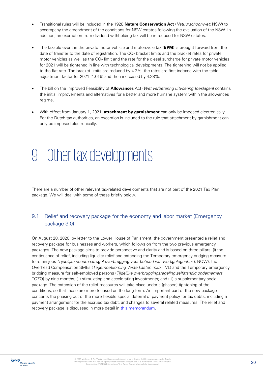- Transitional rules will be included in the 1928 **Nature Conservation Act** (Natuurschoonwet; NSW) to accompany the amendment of the conditions for NSW estates following the evaluation of the NSW. In addition, an exemption from dividend withholding tax will be introduced for NSW estates.
- The taxable event in the private motor vehicle and motorcycle tax (**BPM**) is brought forward from the date of transfer to the date of registration. The  $CO<sub>2</sub>$  bracket limits and the bracket rates for private motor vehicles as well as the  $CO<sub>2</sub>$  limit and the rate for the diesel surcharge for private motor vehicles for 2021 will be tightened in line with technological developments. The tightening will not be applied to the flat rate. The bracket limits are reduced by 4.2%, the rates are first indexed with the table adjustment factor for 2021 (1.016) and then increased by 4.38%.
- The bill on the Improved Feasibility of **Allowances** Act (Wet verbetering uitvoering toeslagen) contains the initial improvements and alternatives for a better and more humane system within the allowances regime.
- With effect from January 1, 2021, **attachment by garnishment** can only be imposed electronically. For the Dutch tax authorities, an exception is included to the rule that attachment by garnishment can only be imposed electronically.

# <span id="page-19-0"></span>9 Other tax developments

There are a number of other relevant tax-related developments that are not part of the 2021 Tax Plan package. We will deal with some of these briefly below.

# <span id="page-19-1"></span>9.1 Relief and recovery package for the economy and labor market (Emergency package 3.0)

On August 28, 2020, by letter to the Lower House of Parliament, the government presented a relief and recovery package for businesses and workers, which follows on from the two previous emergency packages. The new package aims to provide perspective and clarity and is based on three pillars: (i) the continuance of relief, including liquidity relief and extending the Temporary emergency bridging measure to retain jobs (Tijdelijke noodmaatregel overbrugging voor behoud van werkgelegenheid; NOW), the Overhead Compensation SMEs (Tegemoetkoming Vaste Lasten mkb; TVL) and the Temporary emergency bridging measure for self-employed persons (Tijdelijke overbruggingsregeling zelfstandig ondernemers; TOZO) by nine months; (ii) stimulating and accelerating investments; and (iii) a supplementary social package. The extension of the relief measures will take place under a (phased) tightening of the conditions, so that these are more focused on the long-term. An important part of the new package concerns the phasing out of the more flexible special deferral of payment policy for tax debts, including a payment arrangement for the accrued tax debt, and changes to several related measures. The relief and recovery package is discussed in more detail in [this memorandum.](https://meijburg.nl/nieuws/steun-en-herstelpakket-voor-economie-en-arbeidsmarkt-noodpakket-30)

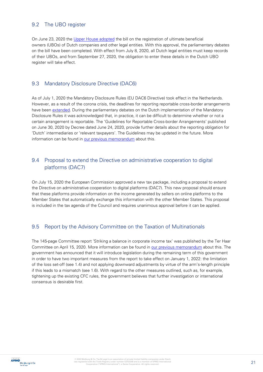#### <span id="page-20-0"></span>9.2 The UBO register

On June 23, 2020 the [Upper House adopted](https://meijburg.nl/eerste-kamer-stemt-in-met-ubo-register) the bill on the registration of ultimate beneficial owners (UBOs) of Dutch companies and other legal entities. With this approval, the parliamentary debates on the bill have been completed. With effect from July 8, 2020, all Dutch legal entities must keep records of their UBOs, and from September 27, 2020, the obligation to enter these details in the Dutch UBO register will take effect.

#### <span id="page-20-1"></span>9.3 Mandatory Disclosure Directive (DAC6)

As of July 1, 2020 the Mandatory Disclosure Rules (EU DAC6 Directive) took effect in the Netherlands. However, as a result of the corona crisis, the deadlines for reporting reportable cross-border arrangements have been [extended.](https://meijburg.nl/nieuws/uitstel-deadline-meldingen-op-grond-van-mandatory-disclosure-rules-dac6) During the parliamentary debates on the Dutch implementation of the Mandatory Disclosure Rules it was acknowledged that, in practice, it can be difficult to determine whether or not a certain arrangement is reportable. The 'Guidelines for Reportable Cross-border Arrangements' published on June 30, 2020 by Decree dated June 24, 2020, provide further details about the reporting obligation for 'Dutch' intermediaries or 'relevant taxpayers'. The Guidelines may be updated in the future. More information can be found in [our previous memorandum](https://meijburg.nl/nieuws/leidraad-mandatory-disclosure-rules-dac6-gepubliceerd) about this.

### <span id="page-20-2"></span>9.4 Proposal to extend the Directive on administrative cooperation to digital platforms (DAC7)

On July 15, 2020 the European Commission approved a new tax package, including a proposal to extend the Directive on administrative cooperation to digital platforms (DAC7). This new proposal should ensure that these platforms provide information on the income generated by sellers on online platforms to the Member States that automatically exchange this information with the other Member States. This proposal is included in the tax agenda of the Council and requires unanimous approval before it can be applied.

### <span id="page-20-3"></span>9.5 Report by the Advisory Committee on the Taxation of Multinationals

The 145-page Committee report 'Striking a balance in corporate income tax' was published by the Ter Haar Committee on April 15, 2020. More information can be found in [our previous memorandum](https://meijburg.nl/nieuws/samenvatting-rapport-adviescommissie-belastingheffing-van-multinationals) about this. The government has announced that it will introduce legislation during the remaining term of this government in order to have two important measures from the report to take effect on January 1, 2022: the limitation of the loss set-off (see 1.4) and not applying downward adjustments by virtue of the arm's-length principle if this leads to a mismatch (see 1.6). With regard to the other measures outlined, such as, for example, tightening up the existing CFC rules, the government believes that further investigation or international consensus is desirable first.

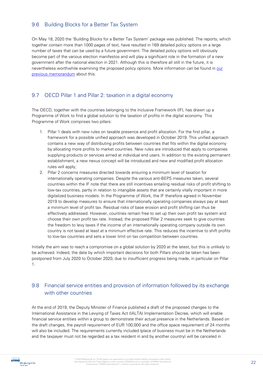# <span id="page-21-0"></span>9.6 Building Blocks for a Better Tax System

On May 18, 2020 the 'Building Blocks for a Better Tax System' package was published. The reports, which together contain more than 1000 pages of text, have resulted in 169 detailed policy options on a large number of taxes that can be used by a future government. The detailed policy options will obviously become part of the various election manifestos and will play a significant role in the formation of a new government after the national election in 2021. Although this is therefore all still in the future, it is nevertheless worthwhile examining the proposed policy options. More information can be found in our [previous memorandum](https://meijburg.nl/nieuws/bouwstenen-voor-een-beter-belastingstelsel) about this.

#### <span id="page-21-1"></span>9.7 OECD Pillar 1 and Pillar 2: taxation in a digital economy

The OECD, together with the countries belonging to the Inclusive Framework (IF), has drawn up a Programme of Work to find a global solution to the taxation of profits in the digital economy. This Programme of Work comprises two pillars:

- 1. Pillar 1 deals with new rules on taxable presence and profit allocation. For the first pillar, a framework for a possible unified approach was developed in October 2019. This unified approach contains a new way of distributing profits between countries that fits within the digital economy by allocating more profits to market countries. New rules are introduced that apply to companies supplying products or services aimed at individual end users. In addition to the existing permanent establishment, a new nexus concept will be introduced and new and modified profit allocation rules will apply;
- 2. Pillar 2 concerns measures directed towards ensuring a minimum level of taxation for internationally operating companies. Despite the various anti-BEPS measures taken, several countries within the IF note that there are still incentives entailing residual risks of profit shifting to low-tax countries, partly in relation to intangible assets that are certainly vitally important in more digitalized business models. In the Programme of Work, the IF therefore agreed in November 2019 to develop measures to ensure that internationally operating companies always pay at least a minimum level of profit tax. Residual risks of base erosion and profit shifting can thus be effectively addressed. However, countries remain free to set up their own profit tax system and choose their own profit tax rate. Instead, the proposed Pillar 2 measures seek to give countries the freedom to levy taxes if the income of an internationally operating company outside its own country is not taxed at least at a minimum effective rate. This reduces the incentive to shift profits to low-tax countries and sets a lower limit on tax competition between countries.

Initially the aim was to reach a compromise on a global solution by 2020 at the latest, but this is unlikely to be achieved. Indeed, the date by which important decisions for both Pillars should be taken has been postponed from July 2020 to October 2020, due to insufficient progress being made, in particular on Pillar 1.

# <span id="page-21-2"></span>9.8 Financial service entities and provision of information followed by its exchange with other countries

At the end of 2019, the Deputy Minister of Finance published a draft of the proposed changes to the International Assistance in the Levying of Taxes Act (IALTA) Implementation Decree, which will enable financial service entities within a group to demonstrate their actual presence in the Netherlands. Based on the draft changes, the payroll requirement of EUR 100,000 and the office space requirement of 24 months will also be included. The requirements currently included (place of business must be in the Netherlands and the taxpayer must not be regarded as a tax resident in and by another country) will be canceled in